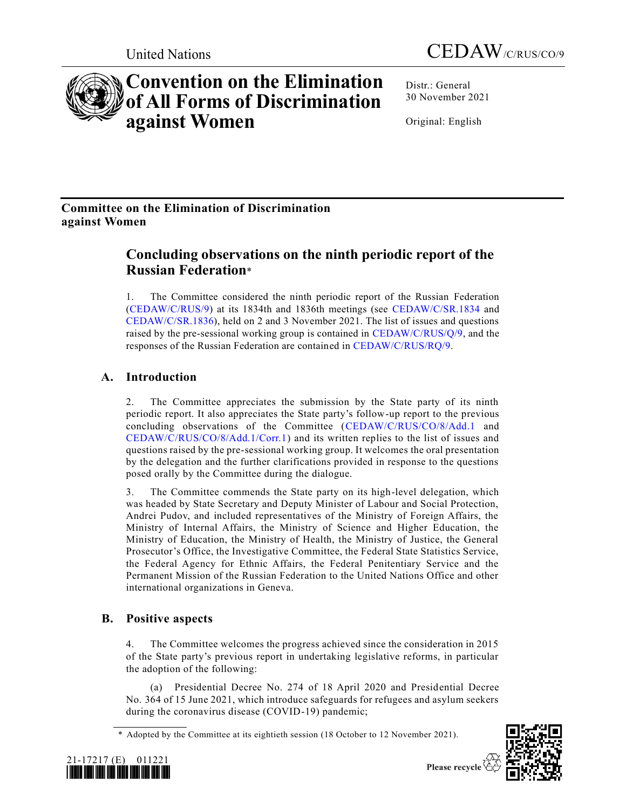

# **Convention on the Elimination of All Forms of Discrimination against Women**

Distr.: General 30 November 2021

Original: English

# **Committee on the Elimination of Discrimination against Women**

# **Concluding observations on the ninth periodic report of the Russian Federation**\*

1. The Committee considered the ninth periodic report of the Russian Federation [\(CEDAW/C/RUS/9\)](https://undocs.org/en/CEDAW/C/RUS/9) at its 1834th and 1836th meetings (see [CEDAW/C/SR.1834](https://undocs.org/en/CEDAW/C/SR.1834) and [CEDAW/C/SR.1836\)](https://undocs.org/en/CEDAW/C/SR.1836), held on 2 and 3 November 2021. The list of issues and questions raised by the pre-sessional working group is contained in [CEDAW/C/RUS/Q/9,](https://undocs.org/en/CEDAW/C/RUS/Q/9) and the responses of the Russian Federation are contained in [CEDAW/C/RUS/RQ/9.](https://undocs.org/en/CEDAW/C/RUS/RQ/9)

# **A. Introduction**

2. The Committee appreciates the submission by the State party of its ninth periodic report. It also appreciates the State party's follow-up report to the previous concluding observations of the Committee [\(CEDAW/C/RUS/CO/8/Add.1](https://undocs.org/en/CEDAW/C/RUS/CO/8/Add.1) and [CEDAW/C/RUS/CO/8/Add.1/Corr.1\)](https://undocs.org/en/CEDAW/C/RUS/CO/8/Add.1/Corr.1) and its written replies to the list of issues and questions raised by the pre-sessional working group. It welcomes the oral presentation by the delegation and the further clarifications provided in response to the questions posed orally by the Committee during the dialogue.

3. The Committee commends the State party on its high-level delegation, which was headed by State Secretary and Deputy Minister of Labour and Social Protection, Andrei Pudov, and included representatives of the Ministry of Foreign Affairs, the Ministry of Internal Affairs, the Ministry of Science and Higher Education, the Ministry of Education, the Ministry of Health, the Ministry of Justice, the General Prosecutor's Office, the Investigative Committee, the Federal State Statistics Service, the Federal Agency for Ethnic Affairs, the Federal Penitentiary Service and the Permanent Mission of the Russian Federation to the United Nations Office and other international organizations in Geneva.

# **B. Positive aspects**

4. The Committee welcomes the progress achieved since the consideration in 2015 of the State party's previous report in undertaking legislative reforms, in particular the adoption of the following:

(a) Presidential Decree No. 274 of 18 April 2020 and Presidential Decree No. 364 of 15 June 2021, which introduce safeguards for refugees and asylum seekers during the coronavirus disease (COVID-19) pandemic;

<sup>\*</sup> Adopted by the Committee at its eightieth session (18 October to 12 November 2021).



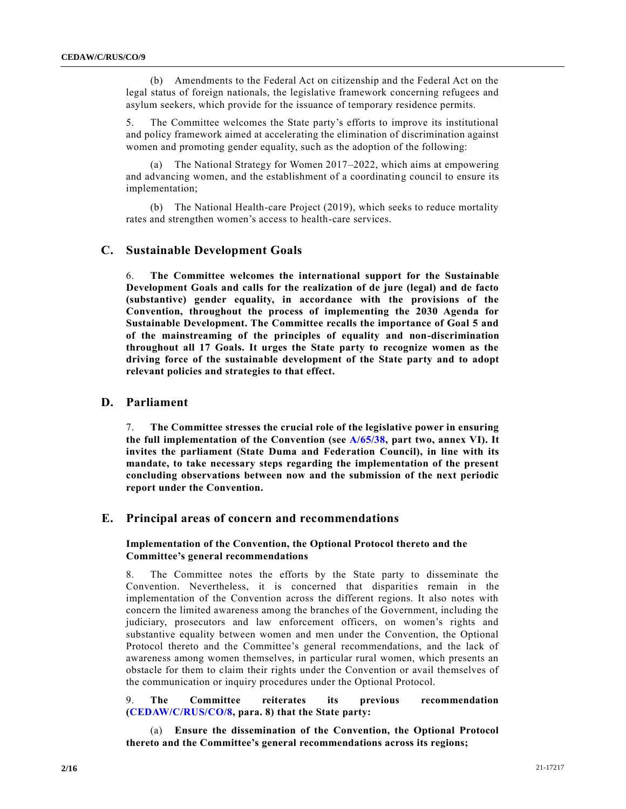(b) Amendments to the Federal Act on citizenship and the Federal Act on the legal status of foreign nationals, the legislative framework concerning refugees and asylum seekers, which provide for the issuance of temporary residence permits.

5. The Committee welcomes the State party's efforts to improve its institutional and policy framework aimed at accelerating the elimination of discrimination against women and promoting gender equality, such as the adoption of the following:

(a) The National Strategy for Women 2017–2022, which aims at empowering and advancing women, and the establishment of a coordinating council to ensure its implementation;

(b) The National Health-care Project (2019), which seeks to reduce mortality rates and strengthen women's access to health-care services.

# **C. Sustainable Development Goals**

6. **The Committee welcomes the international support for the Sustainable Development Goals and calls for the realization of de jure (legal) and de facto (substantive) gender equality, in accordance with the provisions of the Convention, throughout the process of implementing the 2030 Agenda for Sustainable Development. The Committee recalls the importance of Goal 5 and of the mainstreaming of the principles of equality and non-discrimination throughout all 17 Goals. It urges the State party to recognize women as the driving force of the sustainable development of the State party and to adopt relevant policies and strategies to that effect.**

# **D. Parliament**

7. **The Committee stresses the crucial role of the legislative power in ensuring the full implementation of the Convention (see [A/65/38,](https://undocs.org/en/A/65/38(Supp)) part two, annex VI). It invites the parliament (State Duma and Federation Council), in line with its mandate, to take necessary steps regarding the implementation of the present concluding observations between now and the submission of the next periodic report under the Convention.**

# **E. Principal areas of concern and recommendations**

# **Implementation of the Convention, the Optional Protocol thereto and the Committee's general recommendations**

8. The Committee notes the efforts by the State party to disseminate the Convention. Nevertheless, it is concerned that disparities remain in the implementation of the Convention across the different regions. It also notes with concern the limited awareness among the branches of the Government, including the judiciary, prosecutors and law enforcement officers, on women's rights and substantive equality between women and men under the Convention, the Optional Protocol thereto and the Committee's general recommendations, and the lack of awareness among women themselves, in particular rural women, which presents an obstacle for them to claim their rights under the Convention or avail themselves of the communication or inquiry procedures under the Optional Protocol.

9. **The Committee reiterates its previous recommendation [\(CEDAW/C/RUS/CO/8,](https://undocs.org/en/CEDAW/C/RUS/CO/8) para. 8) that the State party:**

(a) **Ensure the dissemination of the Convention, the Optional Protocol thereto and the Committee's general recommendations across its regions;**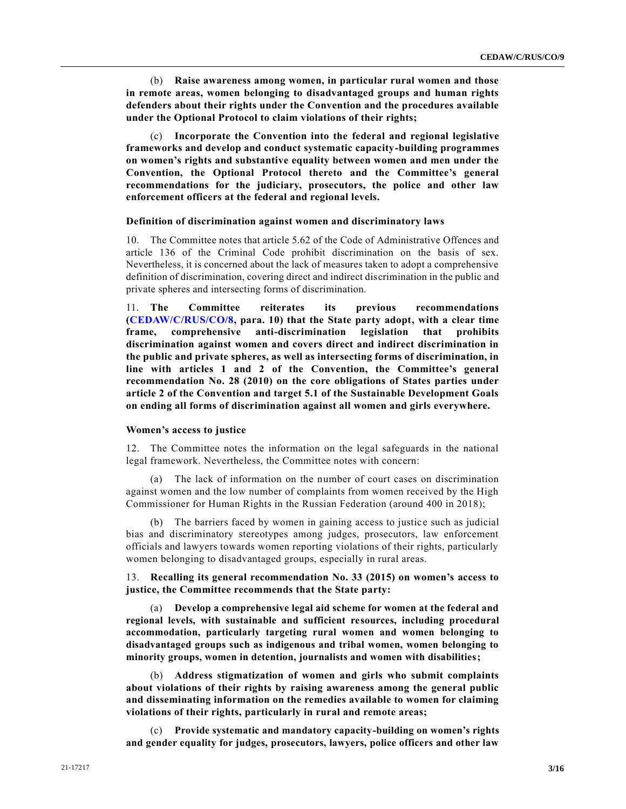(b) **Raise awareness among women, in particular rural women and those in remote areas, women belonging to disadvantaged groups and human rights defenders about their rights under the Convention and the procedures available under the Optional Protocol to claim violations of their rights;**

(c) **Incorporate the Convention into the federal and regional legislative frameworks and develop and conduct systematic capacity-building programmes on women's rights and substantive equality between women and men under the Convention, the Optional Protocol thereto and the Committee's general recommendations for the judiciary, prosecutors, the police and other law enforcement officers at the federal and regional levels.**

#### **Definition of discrimination against women and discriminatory laws**

10. The Committee notes that article 5.62 of the Code of Administrative Offences and article 136 of the Criminal Code prohibit discrimination on the basis of sex. Nevertheless, it is concerned about the lack of measures taken to adopt a comprehensive definition of discrimination, covering direct and indirect discrimination in the public and private spheres and intersecting forms of discrimination.

11. **The Committee reiterates its previous recommendations [\(CEDAW/C/RUS/CO/8,](https://undocs.org/en/CEDAW/C/RUS/CO/8) para. 10) that the State party adopt, with a clear time frame, comprehensive anti-discrimination legislation that prohibits discrimination against women and covers direct and indirect discrimination in the public and private spheres, as well as intersecting forms of discrimination, in line with articles 1 and 2 of the Convention, the Committee's general recommendation No. 28 (2010) on the core obligations of States parties under article 2 of the Convention and target 5.1 of the Sustainable Development Goals on ending all forms of discrimination against all women and girls everywhere.**

#### **Women's access to justice**

12. The Committee notes the information on the legal safeguards in the national legal framework. Nevertheless, the Committee notes with concern:

(a) The lack of information on the number of court cases on discrimination against women and the low number of complaints from women received by the High Commissioner for Human Rights in the Russian Federation (around 400 in 2018);

(b) The barriers faced by women in gaining access to justice such as judicial bias and discriminatory stereotypes among judges, prosecutors, law enforcement officials and lawyers towards women reporting violations of their rights, particularly women belonging to disadvantaged groups, especially in rural areas.

13. **Recalling its general recommendation No. 33 (2015) on women's access to justice, the Committee recommends that the State party:**

(a) **Develop a comprehensive legal aid scheme for women at the federal and regional levels, with sustainable and sufficient resources, including procedural accommodation, particularly targeting rural women and women belonging to disadvantaged groups such as indigenous and tribal women, women belonging to minority groups, women in detention, journalists and women with disabilities;**

(b) **Address stigmatization of women and girls who submit complaints about violations of their rights by raising awareness among the general public and disseminating information on the remedies available to women for claiming violations of their rights, particularly in rural and remote areas;**

(c) **Provide systematic and mandatory capacity-building on women's rights and gender equality for judges, prosecutors, lawyers, police officers and other law**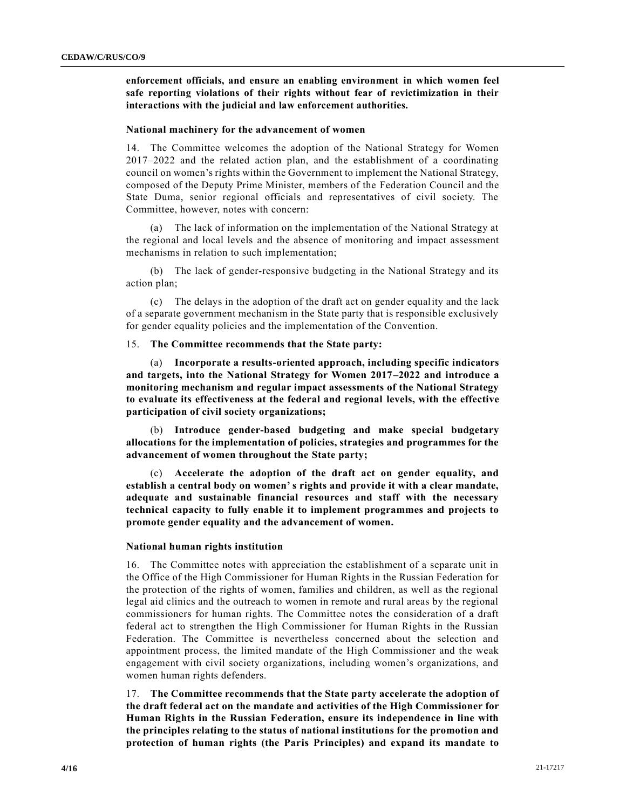**enforcement officials, and ensure an enabling environment in which women feel safe reporting violations of their rights without fear of revictimization in their interactions with the judicial and law enforcement authorities.**

#### **National machinery for the advancement of women**

14. The Committee welcomes the adoption of the National Strategy for Women 2017–2022 and the related action plan, and the establishment of a coordinating council on women's rights within the Government to implement the National Strategy, composed of the Deputy Prime Minister, members of the Federation Council and the State Duma, senior regional officials and representatives of civil society. The Committee, however, notes with concern:

(a) The lack of information on the implementation of the National Strategy at the regional and local levels and the absence of monitoring and impact assessment mechanisms in relation to such implementation;

(b) The lack of gender-responsive budgeting in the National Strategy and its action plan;

(c) The delays in the adoption of the draft act on gender equality and the lack of a separate government mechanism in the State party that is responsible exclusively for gender equality policies and the implementation of the Convention.

15. **The Committee recommends that the State party:**

(a) **Incorporate a results-oriented approach, including specific indicators and targets, into the National Strategy for Women 2017–2022 and introduce a monitoring mechanism and regular impact assessments of the National Strategy to evaluate its effectiveness at the federal and regional levels, with the effective participation of civil society organizations;**

(b) **Introduce gender-based budgeting and make special budgetary allocations for the implementation of policies, strategies and programmes for the advancement of women throughout the State party;**

(c) **Accelerate the adoption of the draft act on gender equality, and establish a central body on women' s rights and provide it with a clear mandate, adequate and sustainable financial resources and staff with the necessary technical capacity to fully enable it to implement programmes and projects to promote gender equality and the advancement of women.**

#### **National human rights institution**

16. The Committee notes with appreciation the establishment of a separate unit in the Office of the High Commissioner for Human Rights in the Russian Federation for the protection of the rights of women, families and children, as well as the regional legal aid clinics and the outreach to women in remote and rural areas by the regional commissioners for human rights. The Committee notes the consideration of a draft federal act to strengthen the High Commissioner for Human Rights in the Russian Federation. The Committee is nevertheless concerned about the selection and appointment process, the limited mandate of the High Commissioner and the weak engagement with civil society organizations, including women's organizations, and women human rights defenders.

17. **The Committee recommends that the State party accelerate the adoption of the draft federal act on the mandate and activities of the High Commissioner for Human Rights in the Russian Federation, ensure its independence in line with the principles relating to the status of national institutions for the promotion and protection of human rights (the Paris Principles) and expand its mandate to**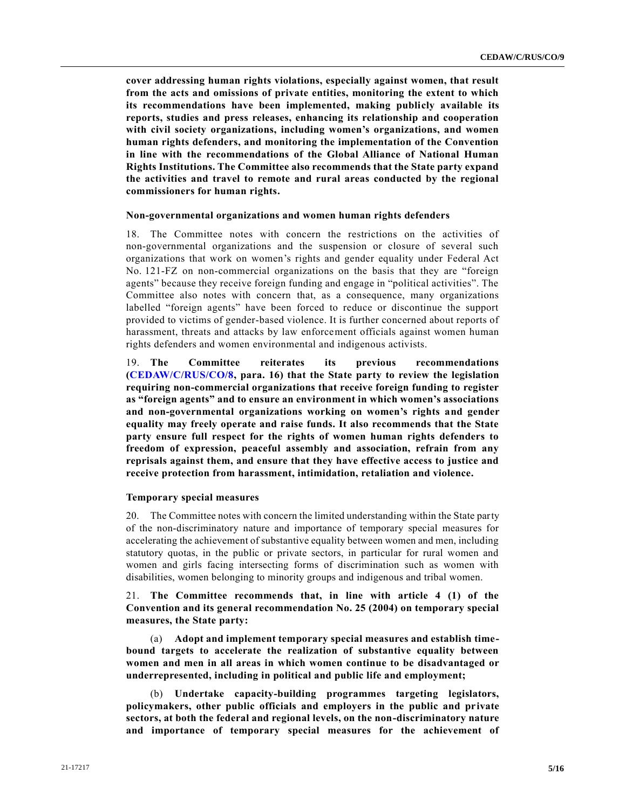**cover addressing human rights violations, especially against women, that result from the acts and omissions of private entities, monitoring the extent to which its recommendations have been implemented, making publicly available its reports, studies and press releases, enhancing its relationship and cooperation with civil society organizations, including women's organizations, and women human rights defenders, and monitoring the implementation of the Convention in line with the recommendations of the Global Alliance of National Human Rights Institutions. The Committee also recommends that the State party expand the activities and travel to remote and rural areas conducted by the regional commissioners for human rights.**

#### **Non-governmental organizations and women human rights defenders**

18. The Committee notes with concern the restrictions on the activities of non-governmental organizations and the suspension or closure of several such organizations that work on women's rights and gender equality under Federal Act No. 121-FZ on non-commercial organizations on the basis that they are "foreign agents" because they receive foreign funding and engage in "political activities". The Committee also notes with concern that, as a consequence, many organizations labelled "foreign agents" have been forced to reduce or discontinue the support provided to victims of gender-based violence. It is further concerned about reports of harassment, threats and attacks by law enforcement officials against women human rights defenders and women environmental and indigenous activists.

19. **The Committee reiterates its previous recommendations [\(CEDAW/C/RUS/CO/8,](https://undocs.org/en/CEDAW/C/RUS/CO/8) para. 16) that the State party to review the legislation requiring non-commercial organizations that receive foreign funding to register as "foreign agents" and to ensure an environment in which women's associations and non-governmental organizations working on women's rights and gender equality may freely operate and raise funds. It also recommends that the State party ensure full respect for the rights of women human rights defenders to freedom of expression, peaceful assembly and association, refrain from any reprisals against them, and ensure that they have effective access to justice and receive protection from harassment, intimidation, retaliation and violence.**

#### **Temporary special measures**

20. The Committee notes with concern the limited understanding within the State party of the non-discriminatory nature and importance of temporary special measures for accelerating the achievement of substantive equality between women and men, including statutory quotas, in the public or private sectors, in particular for rural women and women and girls facing intersecting forms of discrimination such as women with disabilities, women belonging to minority groups and indigenous and tribal women.

21. **The Committee recommends that, in line with article 4 (1) of the Convention and its general recommendation No. 25 (2004) on temporary special measures, the State party:**

(a) **Adopt and implement temporary special measures and establish timebound targets to accelerate the realization of substantive equality between women and men in all areas in which women continue to be disadvantaged or underrepresented, including in political and public life and employment;**

(b) **Undertake capacity-building programmes targeting legislators, policymakers, other public officials and employers in the public and private sectors, at both the federal and regional levels, on the non-discriminatory nature and importance of temporary special measures for the achievement of**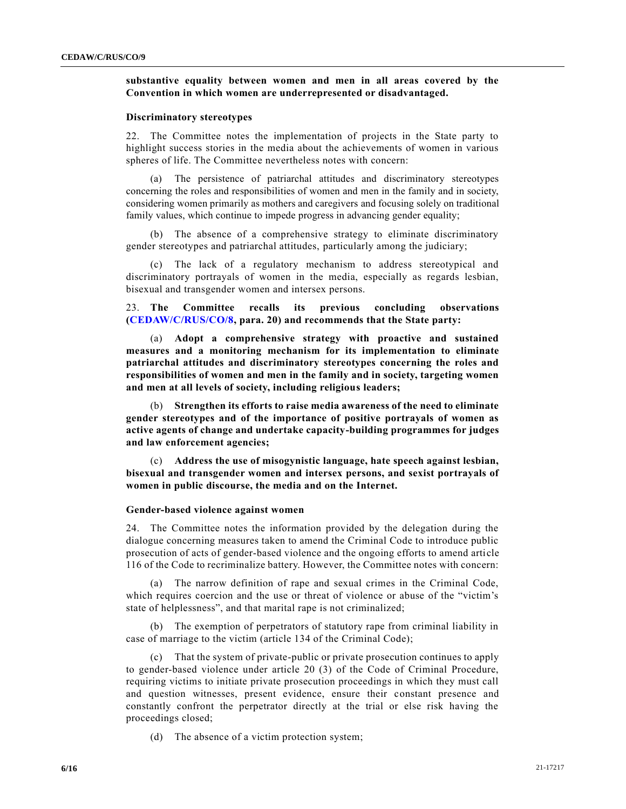# **substantive equality between women and men in all areas covered by the Convention in which women are underrepresented or disadvantaged.**

### **Discriminatory stereotypes**

22. The Committee notes the implementation of projects in the State party to highlight success stories in the media about the achievements of women in various spheres of life. The Committee nevertheless notes with concern:

(a) The persistence of patriarchal attitudes and discriminatory stereotypes concerning the roles and responsibilities of women and men in the family and in society, considering women primarily as mothers and caregivers and focusing solely on traditional family values, which continue to impede progress in advancing gender equality;

The absence of a comprehensive strategy to eliminate discriminatory gender stereotypes and patriarchal attitudes, particularly among the judiciary;

(c) The lack of a regulatory mechanism to address stereotypical and discriminatory portrayals of women in the media, especially as regards lesbian, bisexual and transgender women and intersex persons.

23. **The Committee recalls its previous concluding observations [\(CEDAW/C/RUS/CO/8,](https://undocs.org/en/CEDAW/C/RUS/CO/8) para. 20) and recommends that the State party:** 

(a) **Adopt a comprehensive strategy with proactive and sustained measures and a monitoring mechanism for its implementation to eliminate patriarchal attitudes and discriminatory stereotypes concerning the roles and responsibilities of women and men in the family and in society, targeting women and men at all levels of society, including religious leaders;**

(b) **Strengthen its efforts to raise media awareness of the need to eliminate gender stereotypes and of the importance of positive portrayals of women as active agents of change and undertake capacity-building programmes for judges and law enforcement agencies;**

(c) **Address the use of misogynistic language, hate speech against lesbian, bisexual and transgender women and intersex persons, and sexist portrayals of women in public discourse, the media and on the Internet.**

#### **Gender-based violence against women**

24. The Committee notes the information provided by the delegation during the dialogue concerning measures taken to amend the Criminal Code to introduce public prosecution of acts of gender-based violence and the ongoing efforts to amend article 116 of the Code to recriminalize battery. However, the Committee notes with concern:

(a) The narrow definition of rape and sexual crimes in the Criminal Code, which requires coercion and the use or threat of violence or abuse of the "victim's state of helplessness", and that marital rape is not criminalized;

(b) The exemption of perpetrators of statutory rape from criminal liability in case of marriage to the victim (article 134 of the Criminal Code);

(c) That the system of private-public or private prosecution continues to apply to gender-based violence under article 20 (3) of the Code of Criminal Procedure, requiring victims to initiate private prosecution proceedings in which they must call and question witnesses, present evidence, ensure their constant presence and constantly confront the perpetrator directly at the trial or else risk having the proceedings closed;

(d) The absence of a victim protection system;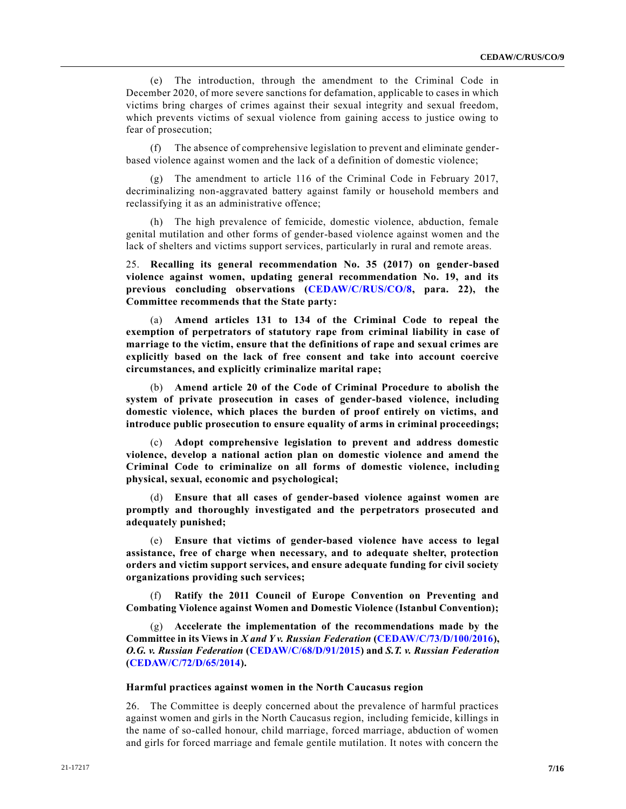(e) The introduction, through the amendment to the Criminal Code in December 2020, of more severe sanctions for defamation, applicable to cases in which victims bring charges of crimes against their sexual integrity and sexual freedom, which prevents victims of sexual violence from gaining access to justice owing to fear of prosecution;

(f) The absence of comprehensive legislation to prevent and eliminate genderbased violence against women and the lack of a definition of domestic violence;

(g) The amendment to article 116 of the Criminal Code in February 2017, decriminalizing non-aggravated battery against family or household members and reclassifying it as an administrative offence;

(h) The high prevalence of femicide, domestic violence, abduction, female genital mutilation and other forms of gender-based violence against women and the lack of shelters and victims support services, particularly in rural and remote areas.

25. **Recalling its general recommendation No. 35 (2017) on gender-based violence against women, updating general recommendation No. 19, and its previous concluding observations [\(CEDAW/C/RUS/CO/8,](https://undocs.org/en/CEDAW/C/RUS/CO/8) para. 22), the Committee recommends that the State party:**

Amend articles 131 to 134 of the Criminal Code to repeal the **exemption of perpetrators of statutory rape from criminal liability in case of marriage to the victim, ensure that the definitions of rape and sexual crimes are explicitly based on the lack of free consent and take into account coercive circumstances, and explicitly criminalize marital rape;**

(b) **Amend article 20 of the Code of Criminal Procedure to abolish the system of private prosecution in cases of gender-based violence, including domestic violence, which places the burden of proof entirely on victims, and introduce public prosecution to ensure equality of arms in criminal proceedings;**

(c) **Adopt comprehensive legislation to prevent and address domestic violence, develop a national action plan on domestic violence and amend the Criminal Code to criminalize on all forms of domestic violence, including physical, sexual, economic and psychological;**

(d) **Ensure that all cases of gender-based violence against women are promptly and thoroughly investigated and the perpetrators prosecuted and adequately punished;**

(e) **Ensure that victims of gender-based violence have access to legal assistance, free of charge when necessary, and to adequate shelter, protection orders and victim support services, and ensure adequate funding for civil society organizations providing such services;**

Ratify the 2011 Council of Europe Convention on Preventing and **Combating Violence against Women and Domestic Violence (Istanbul Convention);**

(g) **Accelerate the implementation of the recommendations made by the Committee in its Views in** *X and Y v. Russian Federation* **[\(CEDAW/C/73/D/100/2016\)](https://undocs.org/en/CEDAW/C/73/D/100/2016),**  *O.G. v. Russian Federation* **[\(CEDAW/C/68/D/91/2015\)](https://undocs.org/en/CEDAW/C/68/D/91/2015) and** *S.T. v. Russian Federation* **[\(CEDAW/C/72/D/65/2014\)](https://undocs.org/en/CEDAW/C/72/D/65/2014).**

#### **Harmful practices against women in the North Caucasus region**

26. The Committee is deeply concerned about the prevalence of harmful practices against women and girls in the North Caucasus region, including femicide, killings in the name of so-called honour, child marriage, forced marriage, abduction of women and girls for forced marriage and female gentile mutilation. It notes with concern the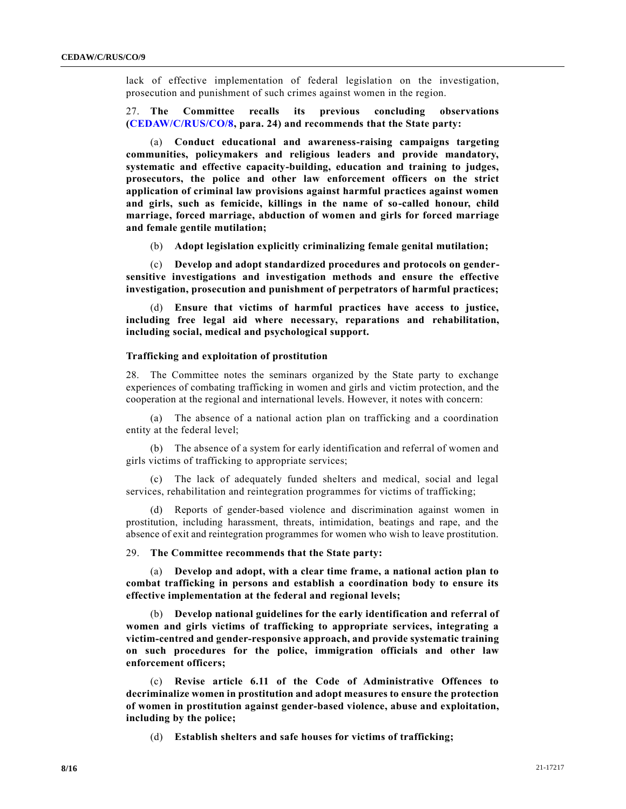lack of effective implementation of federal legislation on the investigation, prosecution and punishment of such crimes against women in the region.

27. **The Committee recalls its previous concluding observations [\(CEDAW/C/RUS/CO/8,](https://undocs.org/en/CEDAW/C/RUS/CO/8) para. 24) and recommends that the State party:** 

(a) **Conduct educational and awareness-raising campaigns targeting communities, policymakers and religious leaders and provide mandatory, systematic and effective capacity-building, education and training to judges, prosecutors, the police and other law enforcement officers on the strict application of criminal law provisions against harmful practices against women and girls, such as femicide, killings in the name of so-called honour, child marriage, forced marriage, abduction of women and girls for forced marriage and female gentile mutilation;**

(b) **Adopt legislation explicitly criminalizing female genital mutilation;** 

(c) **Develop and adopt standardized procedures and protocols on gendersensitive investigations and investigation methods and ensure the effective investigation, prosecution and punishment of perpetrators of harmful practices;**

(d) **Ensure that victims of harmful practices have access to justice, including free legal aid where necessary, reparations and rehabilitation, including social, medical and psychological support.**

#### **Trafficking and exploitation of prostitution**

28. The Committee notes the seminars organized by the State party to exchange experiences of combating trafficking in women and girls and victim protection, and the cooperation at the regional and international levels. However, it notes with concern:

(a) The absence of a national action plan on trafficking and a coordination entity at the federal level;

(b) The absence of a system for early identification and referral of women and girls victims of trafficking to appropriate services;

(c) The lack of adequately funded shelters and medical, social and legal services, rehabilitation and reintegration programmes for victims of trafficking;

(d) Reports of gender-based violence and discrimination against women in prostitution, including harassment, threats, intimidation, beatings and rape, and the absence of exit and reintegration programmes for women who wish to leave prostitution.

29. **The Committee recommends that the State party:** 

(a) **Develop and adopt, with a clear time frame, a national action plan to combat trafficking in persons and establish a coordination body to ensure its effective implementation at the federal and regional levels;**

(b) **Develop national guidelines for the early identification and referral of women and girls victims of trafficking to appropriate services, integrating a victim-centred and gender-responsive approach, and provide systematic training on such procedures for the police, immigration officials and other law enforcement officers;**

(c) **Revise article 6.11 of the Code of Administrative Offences to decriminalize women in prostitution and adopt measures to ensure the protection of women in prostitution against gender-based violence, abuse and exploitation, including by the police;**

(d) **Establish shelters and safe houses for victims of trafficking;**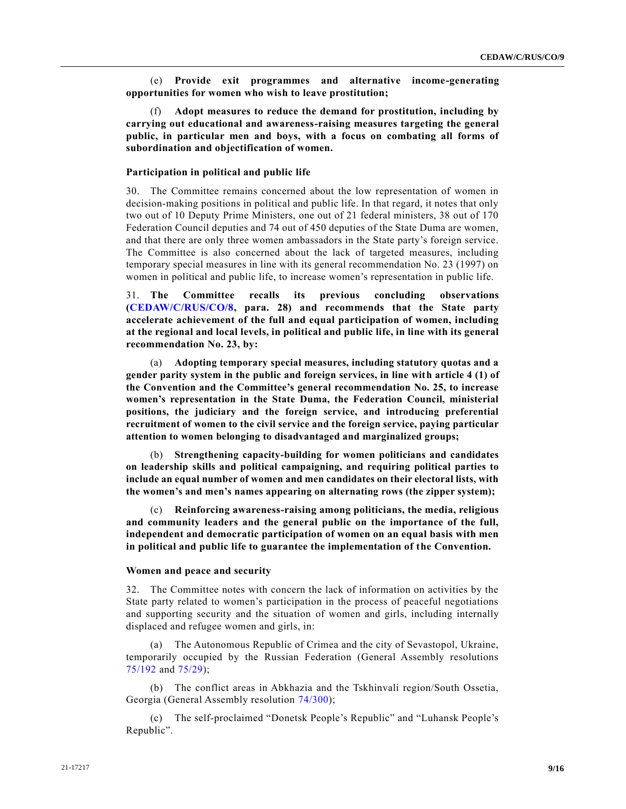(e) **Provide exit programmes and alternative income-generating opportunities for women who wish to leave prostitution;**

(f) **Adopt measures to reduce the demand for prostitution, including by carrying out educational and awareness-raising measures targeting the general public, in particular men and boys, with a focus on combating all forms of subordination and objectification of women.**

#### **Participation in political and public life**

30. The Committee remains concerned about the low representation of women in decision-making positions in political and public life. In that regard, it notes that only two out of 10 Deputy Prime Ministers, one out of 21 federal ministers, 38 out of 170 Federation Council deputies and 74 out of 450 deputies of the State Duma are women, and that there are only three women ambassadors in the State party's foreign service. The Committee is also concerned about the lack of targeted measures, including temporary special measures in line with its general recommendation No. 23 (1997) on women in political and public life, to increase women's representation in public life.

31. **The Committee recalls its previous concluding observations [\(CEDAW/C/RUS/CO/8,](https://undocs.org/en/CEDAW/C/RUS/CO/8) para. 28) and recommends that the State party accelerate achievement of the full and equal participation of women, including at the regional and local levels, in political and public life, in line with its general recommendation No. 23, by:**

(a) **Adopting temporary special measures, including statutory quotas and a gender parity system in the public and foreign services, in line with article 4 (1) of the Convention and the Committee's general recommendation No. 25, to increase women's representation in the State Duma, the Federation Council, ministerial positions, the judiciary and the foreign service, and introducing preferential recruitment of women to the civil service and the foreign service, paying particular attention to women belonging to disadvantaged and marginalized groups;**

(b) **Strengthening capacity-building for women politicians and candidates on leadership skills and political campaigning, and requiring political parties to include an equal number of women and men candidates on their electoral lists, with the women's and men's names appearing on alternating rows (the zipper system);**

(c) **Reinforcing awareness-raising among politicians, the media, religious and community leaders and the general public on the importance of the full, independent and democratic participation of women on an equal basis with men in political and public life to guarantee the implementation of the Convention.**

#### **Women and peace and security**

32. The Committee notes with concern the lack of information on activities by the State party related to women's participation in the process of peaceful negotiations and supporting security and the situation of women and girls, including internally displaced and refugee women and girls, in:

(a) The Autonomous Republic of Crimea and the city of Sevastopol, Ukraine, temporarily occupied by the Russian Federation (General Assembly resolutions [75/192](https://undocs.org/en/A/RES/75/192) and [75/29\)](https://undocs.org/en/A/RES/75/29);

(b) The conflict areas in Abkhazia and the Tskhinvali region/South Ossetia, Georgia (General Assembly resolution [74/300\)](https://undocs.org/en/A/RES/74/300);

(c) The self-proclaimed "Donetsk People's Republic" and "Luhansk People's Republic".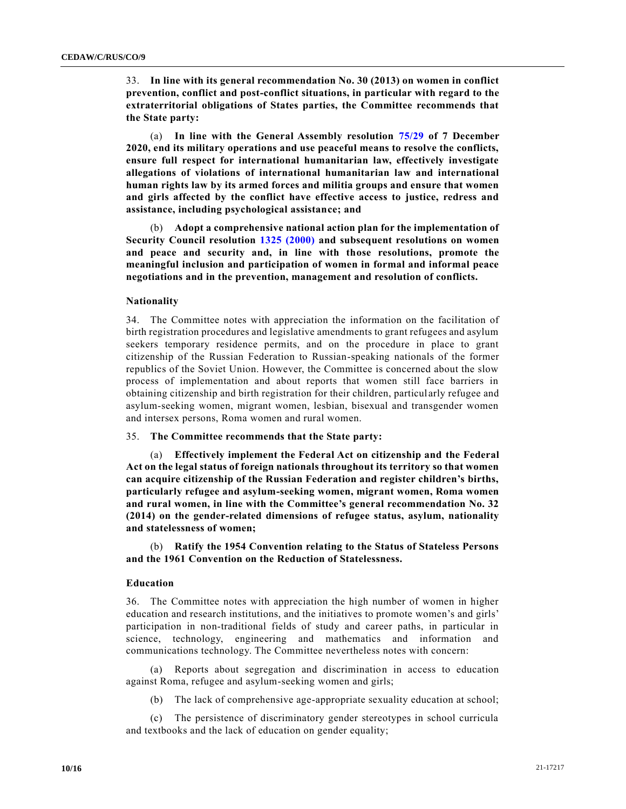33. **In line with its general recommendation No. 30 (2013) on women in conflict prevention, conflict and post-conflict situations, in particular with regard to the extraterritorial obligations of States parties, the Committee recommends that the State party:**

(a) **In line with the General Assembly resolution [75/29](https://undocs.org/en/A/RES/75/29) of 7 December 2020, end its military operations and use peaceful means to resolve the conflicts, ensure full respect for international humanitarian law, effectively investigate allegations of violations of international humanitarian law and international human rights law by its armed forces and militia groups and ensure that women and girls affected by the conflict have effective access to justice, redress and assistance, including psychological assistance; and**

(b) **Adopt a comprehensive national action plan for the implementation of Security Council resolution [1325 \(2000\)](https://undocs.org/en/S/RES/1325(2000)) and subsequent resolutions on women and peace and security and, in line with those resolutions, promote the meaningful inclusion and participation of women in formal and informal peace negotiations and in the prevention, management and resolution of conflicts.**

#### **Nationality**

34. The Committee notes with appreciation the information on the facilitation of birth registration procedures and legislative amendments to grant refugees and asylum seekers temporary residence permits, and on the procedure in place to grant citizenship of the Russian Federation to Russian-speaking nationals of the former republics of the Soviet Union. However, the Committee is concerned about the slow process of implementation and about reports that women still face barriers in obtaining citizenship and birth registration for their children, particul arly refugee and asylum-seeking women, migrant women, lesbian, bisexual and transgender women and intersex persons, Roma women and rural women.

### 35. **The Committee recommends that the State party:**

(a) **Effectively implement the Federal Act on citizenship and the Federal Act on the legal status of foreign nationals throughout its territory so that women can acquire citizenship of the Russian Federation and register children's births, particularly refugee and asylum-seeking women, migrant women, Roma women and rural women, in line with the Committee's general recommendation No. 32 (2014) on the gender-related dimensions of refugee status, asylum, nationality and statelessness of women;**

(b) **Ratify the 1954 Convention relating to the Status of Stateless Persons and the 1961 Convention on the Reduction of Statelessness.**

### **Education**

36. The Committee notes with appreciation the high number of women in higher education and research institutions, and the initiatives to promote women's and girls' participation in non-traditional fields of study and career paths, in particular in science, technology, engineering and mathematics and information and communications technology. The Committee nevertheless notes with concern:

(a) Reports about segregation and discrimination in access to education against Roma, refugee and asylum-seeking women and girls;

(b) The lack of comprehensive age-appropriate sexuality education at school;

(c) The persistence of discriminatory gender stereotypes in school curricula and textbooks and the lack of education on gender equality;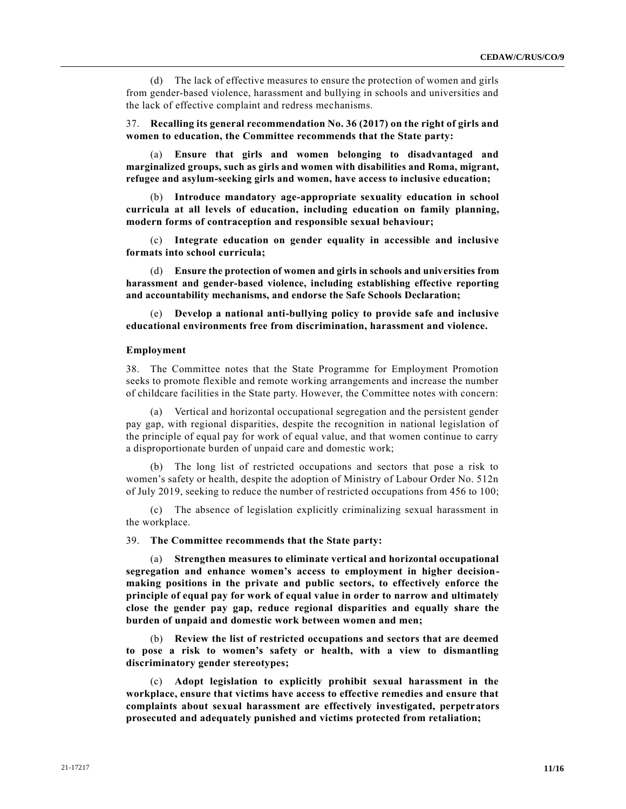(d) The lack of effective measures to ensure the protection of women and girls from gender-based violence, harassment and bullying in schools and universities and the lack of effective complaint and redress mechanisms.

37. **Recalling its general recommendation No. 36 (2017) on the right of girls and women to education, the Committee recommends that the State party:** 

(a) **Ensure that girls and women belonging to disadvantaged and marginalized groups, such as girls and women with disabilities and Roma, migrant, refugee and asylum-seeking girls and women, have access to inclusive education;**

(b) **Introduce mandatory age-appropriate sexuality education in school curricula at all levels of education, including education on family planning, modern forms of contraception and responsible sexual behaviour;**

(c) **Integrate education on gender equality in accessible and inclusive formats into school curricula;**

(d) **Ensure the protection of women and girls in schools and universities from harassment and gender-based violence, including establishing effective reporting and accountability mechanisms, and endorse the Safe Schools Declaration;**

(e) **Develop a national anti-bullying policy to provide safe and inclusive educational environments free from discrimination, harassment and violence.**

#### **Employment**

38. The Committee notes that the State Programme for Employment Promotion seeks to promote flexible and remote working arrangements and increase the number of childcare facilities in the State party. However, the Committee notes with concern:

(a) Vertical and horizontal occupational segregation and the persistent gender pay gap, with regional disparities, despite the recognition in national legislation of the principle of equal pay for work of equal value, and that women continue to carry a disproportionate burden of unpaid care and domestic work;

(b) The long list of restricted occupations and sectors that pose a risk to women's safety or health, despite the adoption of Ministry of Labour Order No. 512n of July 2019, seeking to reduce the number of restricted occupations from 456 to 100;

(c) The absence of legislation explicitly criminalizing sexual harassment in the workplace.

39. **The Committee recommends that the State party:** 

(a) **Strengthen measures to eliminate vertical and horizontal occupational segregation and enhance women's access to employment in higher decisionmaking positions in the private and public sectors, to effectively enforce the principle of equal pay for work of equal value in order to narrow and ultimately close the gender pay gap, reduce regional disparities and equally share the burden of unpaid and domestic work between women and men;**

(b) **Review the list of restricted occupations and sectors that are deemed to pose a risk to women's safety or health, with a view to dismantling discriminatory gender stereotypes;**

(c) **Adopt legislation to explicitly prohibit sexual harassment in the workplace, ensure that victims have access to effective remedies and ensure that complaints about sexual harassment are effectively investigated, perpetrators prosecuted and adequately punished and victims protected from retaliation;**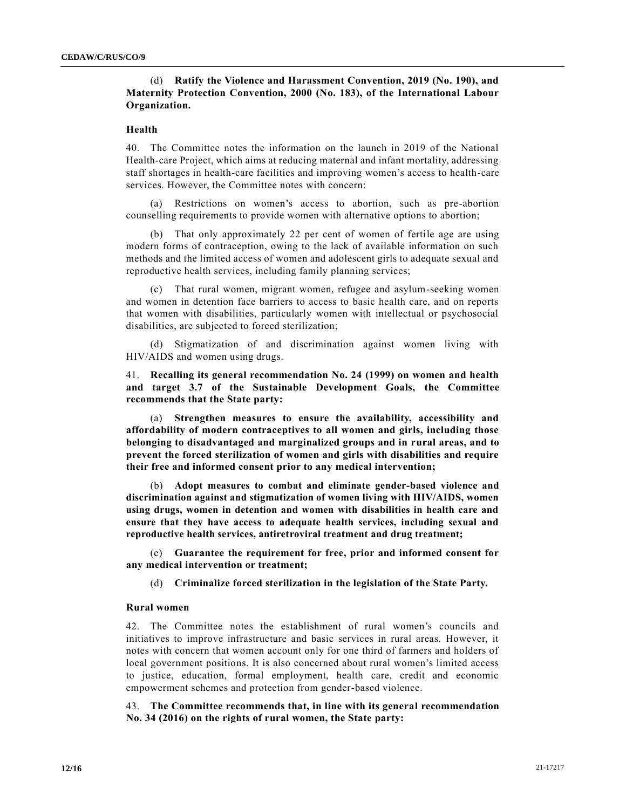# (d) **Ratify the Violence and Harassment Convention, 2019 (No. 190), and Maternity Protection Convention, 2000 (No. 183), of the International Labour Organization.**

### **Health**

40. The Committee notes the information on the launch in 2019 of the National Health-care Project, which aims at reducing maternal and infant mortality, addressing staff shortages in health-care facilities and improving women's access to health-care services. However, the Committee notes with concern:

(a) Restrictions on women's access to abortion, such as pre-abortion counselling requirements to provide women with alternative options to abortion;

(b) That only approximately 22 per cent of women of fertile age are using modern forms of contraception, owing to the lack of available information on such methods and the limited access of women and adolescent girls to adequate sexual and reproductive health services, including family planning services;

(c) That rural women, migrant women, refugee and asylum-seeking women and women in detention face barriers to access to basic health care, and on reports that women with disabilities, particularly women with intellectual or psychosocial disabilities, are subjected to forced sterilization;

(d) Stigmatization of and discrimination against women living with HIV/AIDS and women using drugs.

41. **Recalling its general recommendation No. 24 (1999) on women and health and target 3.7 of the Sustainable Development Goals, the Committee recommends that the State party:**

(a) **Strengthen measures to ensure the availability, accessibility and affordability of modern contraceptives to all women and girls, including those belonging to disadvantaged and marginalized groups and in rural areas, and to prevent the forced sterilization of women and girls with disabilities and require their free and informed consent prior to any medical intervention;**

(b) **Adopt measures to combat and eliminate gender-based violence and discrimination against and stigmatization of women living with HIV/AIDS, women using drugs, women in detention and women with disabilities in health care and ensure that they have access to adequate health services, including sexual and reproductive health services, antiretroviral treatment and drug treatment;**

(c) **Guarantee the requirement for free, prior and informed consent for any medical intervention or treatment;**

(d) **Criminalize forced sterilization in the legislation of the State Party.**

# **Rural women**

42. The Committee notes the establishment of rural women's councils and initiatives to improve infrastructure and basic services in rural areas. However, it notes with concern that women account only for one third of farmers and holders of local government positions. It is also concerned about rural women's limited access to justice, education, formal employment, health care, credit and economic empowerment schemes and protection from gender-based violence.

43. **The Committee recommends that, in line with its general recommendation No. 34 (2016) on the rights of rural women, the State party:**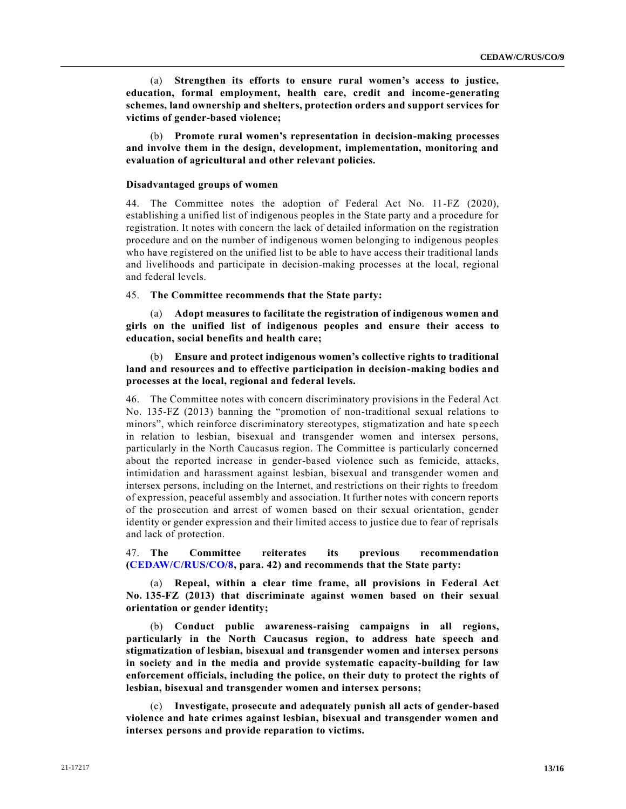(a) **Strengthen its efforts to ensure rural women's access to justice, education, formal employment, health care, credit and income-generating schemes, land ownership and shelters, protection orders and support services for victims of gender-based violence;**

(b) **Promote rural women's representation in decision-making processes and involve them in the design, development, implementation, monitoring and evaluation of agricultural and other relevant policies.**

# **Disadvantaged groups of women**

44. The Committee notes the adoption of Federal Act No. 11-FZ (2020), establishing a unified list of indigenous peoples in the State party and a procedure for registration. It notes with concern the lack of detailed information on the registration procedure and on the number of indigenous women belonging to indigenous peoples who have registered on the unified list to be able to have access their traditional lands and livelihoods and participate in decision-making processes at the local, regional and federal levels.

45. **The Committee recommends that the State party:**

(a) **Adopt measures to facilitate the registration of indigenous women and girls on the unified list of indigenous peoples and ensure their access to education, social benefits and health care;**

(b) **Ensure and protect indigenous women's collective rights to traditional land and resources and to effective participation in decision-making bodies and processes at the local, regional and federal levels.**

46. The Committee notes with concern discriminatory provisions in the Federal Act No. 135-FZ (2013) banning the "promotion of non-traditional sexual relations to minors", which reinforce discriminatory stereotypes, stigmatization and hate speech in relation to lesbian, bisexual and transgender women and intersex persons, particularly in the North Caucasus region. The Committee is particularly concerned about the reported increase in gender-based violence such as femicide, attacks, intimidation and harassment against lesbian, bisexual and transgender women and intersex persons, including on the Internet, and restrictions on their rights to freedom of expression, peaceful assembly and association. It further notes with concern reports of the prosecution and arrest of women based on their sexual orientation, gender identity or gender expression and their limited access to justice due to fear of reprisals and lack of protection.

47. **The Committee reiterates its previous recommendation [\(CEDAW/C/RUS/CO/8,](https://undocs.org/en/CEDAW/C/RUS/CO/8) para. 42) and recommends that the State party:**

(a) **Repeal, within a clear time frame, all provisions in Federal Act No. 135-FZ (2013) that discriminate against women based on their sexual orientation or gender identity;**

(b) **Conduct public awareness-raising campaigns in all regions, particularly in the North Caucasus region, to address hate speech and stigmatization of lesbian, bisexual and transgender women and intersex persons in society and in the media and provide systematic capacity-building for law enforcement officials, including the police, on their duty to protect the rights of lesbian, bisexual and transgender women and intersex persons;**

(c) **Investigate, prosecute and adequately punish all acts of gender-based violence and hate crimes against lesbian, bisexual and transgender women and intersex persons and provide reparation to victims.**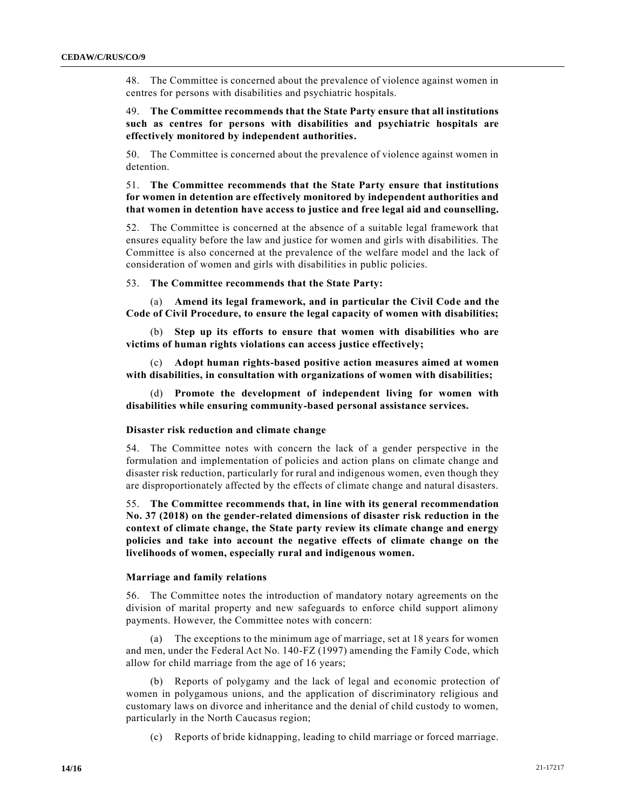48. The Committee is concerned about the prevalence of violence against women in centres for persons with disabilities and psychiatric hospitals.

49. **The Committee recommends that the State Party ensure that all institutions such as centres for persons with disabilities and psychiatric hospitals are effectively monitored by independent authorities.**

50. The Committee is concerned about the prevalence of violence against women in detention.

# 51. **The Committee recommends that the State Party ensure that institutions for women in detention are effectively monitored by independent authorities and that women in detention have access to justice and free legal aid and counselling.**

52. The Committee is concerned at the absence of a suitable legal framework that ensures equality before the law and justice for women and girls with disabilities. The Committee is also concerned at the prevalence of the welfare model and the lack of consideration of women and girls with disabilities in public policies.

53. **The Committee recommends that the State Party:**

(a) **Amend its legal framework, and in particular the Civil Code and the Code of Civil Procedure, to ensure the legal capacity of women with disabilities;**

(b) **Step up its efforts to ensure that women with disabilities who are victims of human rights violations can access justice effectively;**

(c) **Adopt human rights-based positive action measures aimed at women with disabilities, in consultation with organizations of women with disabilities;**

(d) **Promote the development of independent living for women with disabilities while ensuring community-based personal assistance services.**

#### **Disaster risk reduction and climate change**

54. The Committee notes with concern the lack of a gender perspective in the formulation and implementation of policies and action plans on climate change and disaster risk reduction, particularly for rural and indigenous women, even though they are disproportionately affected by the effects of climate change and natural disasters.

55. **The Committee recommends that, in line with its general recommendation No. 37 (2018) on the gender-related dimensions of disaster risk reduction in the context of climate change, the State party review its climate change and energy policies and take into account the negative effects of climate change on the livelihoods of women, especially rural and indigenous women.**

### **Marriage and family relations**

56. The Committee notes the introduction of mandatory notary agreements on the division of marital property and new safeguards to enforce child support alimony payments. However, the Committee notes with concern:

(a) The exceptions to the minimum age of marriage, set at 18 years for women and men, under the Federal Act No. 140-FZ (1997) amending the Family Code, which allow for child marriage from the age of 16 years;

(b) Reports of polygamy and the lack of legal and economic protection of women in polygamous unions, and the application of discriminatory religious and customary laws on divorce and inheritance and the denial of child custody to women, particularly in the North Caucasus region;

(c) Reports of bride kidnapping, leading to child marriage or forced marriage.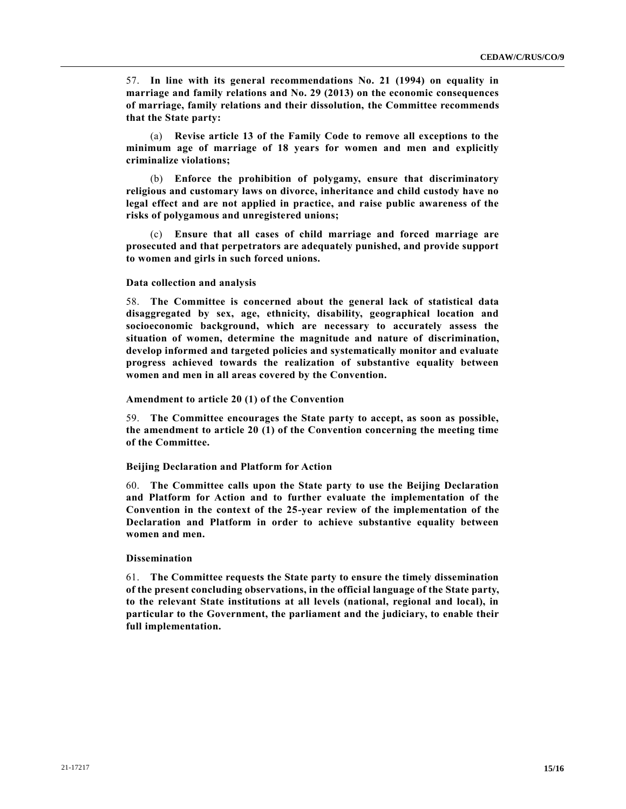57. **In line with its general recommendations No. 21 (1994) on equality in marriage and family relations and No. 29 (2013) on the economic consequences of marriage, family relations and their dissolution, the Committee recommends that the State party:**

(a) **Revise article 13 of the Family Code to remove all exceptions to the minimum age of marriage of 18 years for women and men and explicitly criminalize violations;**

(b) **Enforce the prohibition of polygamy, ensure that discriminatory religious and customary laws on divorce, inheritance and child custody have no legal effect and are not applied in practice, and raise public awareness of the risks of polygamous and unregistered unions;**

(c) **Ensure that all cases of child marriage and forced marriage are prosecuted and that perpetrators are adequately punished, and provide support to women and girls in such forced unions.**

#### **Data collection and analysis**

58. **The Committee is concerned about the general lack of statistical data disaggregated by sex, age, ethnicity, disability, geographical location and socioeconomic background, which are necessary to accurately assess the situation of women, determine the magnitude and nature of discrimination, develop informed and targeted policies and systematically monitor and evaluate progress achieved towards the realization of substantive equality between women and men in all areas covered by the Convention.**

#### **Amendment to article 20 (1) of the Convention**

59. **The Committee encourages the State party to accept, as soon as possible, the amendment to article 20 (1) of the Convention concerning the meeting time of the Committee.**

### **Beijing Declaration and Platform for Action**

60. **The Committee calls upon the State party to use the Beijing Declaration and Platform for Action and to further evaluate the implementation of the Convention in the context of the 25-year review of the implementation of the Declaration and Platform in order to achieve substantive equality between women and men.**

#### **Dissemination**

61. **The Committee requests the State party to ensure the timely dissemination of the present concluding observations, in the official language of the State party, to the relevant State institutions at all levels (national, regional and local), in particular to the Government, the parliament and the judiciary, to enable their full implementation.**